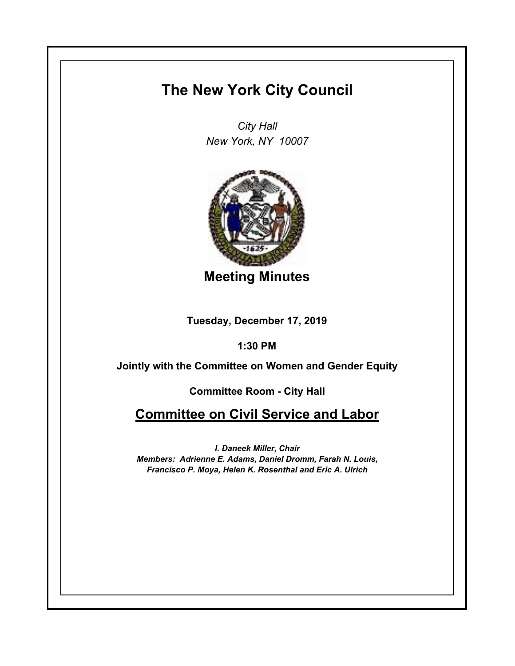## **The New York City Council**

*City Hall New York, NY 10007*



**Meeting Minutes**

**Tuesday, December 17, 2019**

**1:30 PM**

**Jointly with the Committee on Women and Gender Equity**

**Committee Room - City Hall**

**Committee on Civil Service and Labor**

*I. Daneek Miller, Chair Members: Adrienne E. Adams, Daniel Dromm, Farah N. Louis, Francisco P. Moya, Helen K. Rosenthal and Eric A. Ulrich*